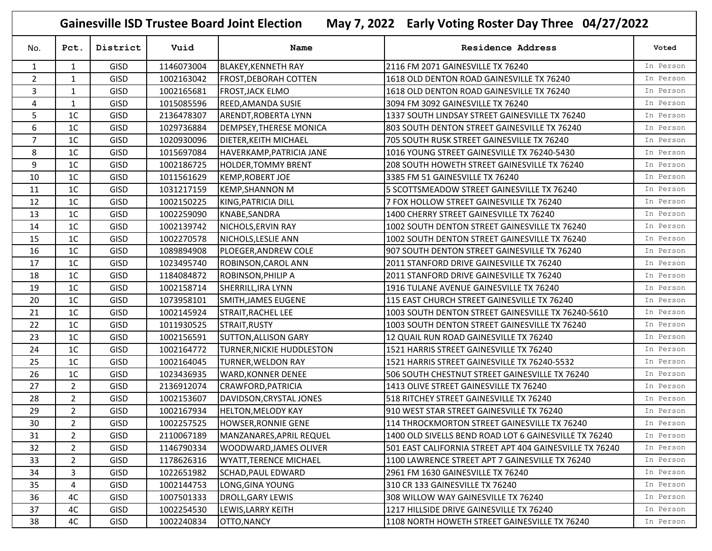**Gainesville ISD Trustee Board Joint Election May 7, 2022 Early Voting Roster Day Three 04/27/2022**

| No.            | Pct.           | District    | Vuid       | Name                             | <b>Residence Address</b>                                | Voted     |
|----------------|----------------|-------------|------------|----------------------------------|---------------------------------------------------------|-----------|
| $\mathbf{1}$   | $\mathbf{1}$   | <b>GISD</b> | 1146073004 | <b>BLAKEY, KENNETH RAY</b>       | 2116 FM 2071 GAINESVILLE TX 76240                       | In Person |
| $\overline{2}$ | $\mathbf{1}$   | GISD        | 1002163042 | <b>FROST, DEBORAH COTTEN</b>     | 1618 OLD DENTON ROAD GAINESVILLE TX 76240               | In Person |
| 3              | $\mathbf{1}$   | <b>GISD</b> | 1002165681 | <b>FROST, JACK ELMO</b>          | 1618 OLD DENTON ROAD GAINESVILLE TX 76240               | In Person |
| 4              | $\mathbf{1}$   | GISD        | 1015085596 | REED, AMANDA SUSIE               | 3094 FM 3092 GAINESVILLE TX 76240                       | In Person |
| 5              | 1 <sup>C</sup> | <b>GISD</b> | 2136478307 | ARENDT, ROBERTA LYNN             | 1337 SOUTH LINDSAY STREET GAINESVILLE TX 76240          | In Person |
| 6              | 1 <sup>C</sup> | <b>GISD</b> | 1029736884 | <b>DEMPSEY, THERESE MONICA</b>   | 803 SOUTH DENTON STREET GAINESVILLE TX 76240            | In Person |
| $\overline{7}$ | 1 <sup>C</sup> | GISD        | 1020930096 | DIETER, KEITH MICHAEL            | 705 SOUTH RUSK STREET GAINESVILLE TX 76240              | In Person |
| 8              | 1 <sup>C</sup> | <b>GISD</b> | 1015697084 | HAVERKAMP, PATRICIA JANE         | 1016 YOUNG STREET GAINESVILLE TX 76240-5430             | In Person |
| 9              | 1 <sup>C</sup> | <b>GISD</b> | 1002186725 | <b>HOLDER, TOMMY BRENT</b>       | 208 SOUTH HOWETH STREET GAINESVILLE TX 76240            | In Person |
| 10             | 1 <sup>C</sup> | <b>GISD</b> | 1011561629 | <b>KEMP, ROBERT JOE</b>          | 3385 FM 51 GAINESVILLE TX 76240                         | In Person |
| 11             | 1 <sup>C</sup> | GISD        | 1031217159 | <b>KEMP, SHANNON M</b>           | 5 SCOTTSMEADOW STREET GAINESVILLE TX 76240              | In Person |
| 12             | 1 <sup>C</sup> | <b>GISD</b> | 1002150225 | KING, PATRICIA DILL              | 7 FOX HOLLOW STREET GAINESVILLE TX 76240                | In Person |
| 13             | 1 <sup>C</sup> | <b>GISD</b> | 1002259090 | KNABE, SANDRA                    | 1400 CHERRY STREET GAINESVILLE TX 76240                 | In Person |
| 14             | 1 <sup>C</sup> | <b>GISD</b> | 1002139742 | NICHOLS, ERVIN RAY               | 1002 SOUTH DENTON STREET GAINESVILLE TX 76240           | In Person |
| 15             | 1 <sup>C</sup> | <b>GISD</b> | 1002270578 | NICHOLS, LESLIE ANN              | 1002 SOUTH DENTON STREET GAINESVILLE TX 76240           | In Person |
| 16             | 1 <sup>C</sup> | GISD        | 1089894908 | PLOEGER, ANDREW COLE             | 907 SOUTH DENTON STREET GAINESVILLE TX 76240            | In Person |
| 17             | 1 <sup>C</sup> | <b>GISD</b> | 1023495740 | ROBINSON, CAROL ANN              | 2011 STANFORD DRIVE GAINESVILLE TX 76240                | In Person |
| 18             | 1 <sup>C</sup> | GISD        | 1184084872 | ROBINSON, PHILIP A               | 2011 STANFORD DRIVE GAINESVILLE TX 76240                | In Person |
| 19             | 1 <sup>C</sup> | GISD        | 1002158714 | SHERRILL, IRA LYNN               | 1916 TULANE AVENUE GAINESVILLE TX 76240                 | In Person |
| 20             | 1 <sup>C</sup> | <b>GISD</b> | 1073958101 | SMITH, JAMES EUGENE              | 115 EAST CHURCH STREET GAINESVILLE TX 76240             | In Person |
| 21             | 1 <sup>C</sup> | <b>GISD</b> | 1002145924 | <b>STRAIT, RACHEL LEE</b>        | 1003 SOUTH DENTON STREET GAINESVILLE TX 76240-5610      | In Person |
| 22             | 1 <sup>C</sup> | <b>GISD</b> | 1011930525 | STRAIT, RUSTY                    | 1003 SOUTH DENTON STREET GAINESVILLE TX 76240           | In Person |
| 23             | 1 <sup>C</sup> | GISD        | 1002156591 | <b>SUTTON, ALLISON GARY</b>      | 12 QUAIL RUN ROAD GAINESVILLE TX 76240                  | In Person |
| 24             | 1 <sup>C</sup> | <b>GISD</b> | 1002164772 | <b>TURNER, NICKIE HUDDLESTON</b> | 1521 HARRIS STREET GAINESVILLE TX 76240                 | In Person |
| 25             | 1 <sup>C</sup> | <b>GISD</b> | 1002164045 | <b>TURNER, WELDON RAY</b>        | 1521 HARRIS STREET GAINESVILLE TX 76240-5532            | In Person |
| 26             | 1C             | GISD        | 1023436935 | <b>WARD, KONNER DENEE</b>        | 506 SOUTH CHESTNUT STREET GAINESVILLE TX 76240          | In Person |
| 27             | $\overline{2}$ | <b>GISD</b> | 2136912074 | CRAWFORD, PATRICIA               | 1413 OLIVE STREET GAINESVILLE TX 76240                  | In Person |
| 28             | $\overline{2}$ | <b>GISD</b> | 1002153607 | DAVIDSON, CRYSTAL JONES          | 518 RITCHEY STREET GAINESVILLE TX 76240                 | In Person |
| 29             | $\overline{2}$ | GISD        | 1002167934 | <b>HELTON, MELODY KAY</b>        | 910 WEST STAR STREET GAINESVILLE TX 76240               | In Person |
| 30             | $\overline{2}$ | <b>GISD</b> | 1002257525 | <b>HOWSER, RONNIE GENE</b>       | 114 THROCKMORTON STREET GAINESVILLE TX 76240            | In Person |
| 31             | $\overline{2}$ | <b>GISD</b> | 2110067189 | MANZANARES, APRIL REQUEL         | 1400 OLD SIVELLS BEND ROAD LOT 6 GAINESVILLE TX 76240   | In Person |
| 32             | 2              | GISD        | 1146790334 | <b>WOODWARD, JAMES OLIVER</b>    | 501 EAST CALIFORNIA STREET APT 404 GAINESVILLE TX 76240 | In Person |
| 33             | 2              | <b>GISD</b> | 1178626316 | <b>WYATT, TERENCE MICHAEL</b>    | 1100 LAWRENCE STREET APT 7 GAINESVILLE TX 76240         | In Person |
| 34             | 3              | <b>GISD</b> | 1022651982 | SCHAD, PAUL EDWARD               | 2961 FM 1630 GAINESVILLE TX 76240                       | In Person |
| 35             | 4              | <b>GISD</b> | 1002144753 | LONG, GINA YOUNG                 | 310 CR 133 GAINESVILLE TX 76240                         | In Person |
| 36             | 4C             | <b>GISD</b> | 1007501333 | <b>DROLL, GARY LEWIS</b>         | 308 WILLOW WAY GAINESVILLE TX 76240                     | In Person |
| 37             | 4C             | <b>GISD</b> | 1002254530 | LEWIS, LARRY KEITH               | 1217 HILLSIDE DRIVE GAINESVILLE TX 76240                | In Person |
| 38             | 4C             | <b>GISD</b> | 1002240834 | OTTO, NANCY                      | 1108 NORTH HOWETH STREET GAINESVILLE TX 76240           | In Person |